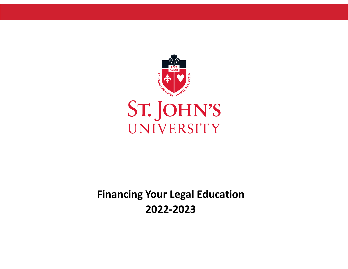

**Financing Your Legal Education 2022‐2023**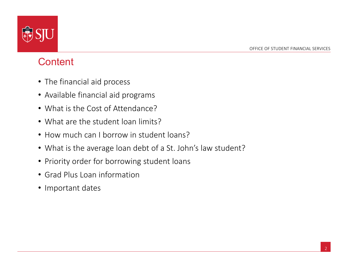

#### **Content**

- The financial aid process
- Available financial aid programs
- What is the Cost of Attendance?
- What are the student loan limits?
- How much can I borrow in student loans?
- What is the average loan debt of a St. John's law student?
- Priority order for borrowing student loans
- Grad Plus Loan information
- Important dates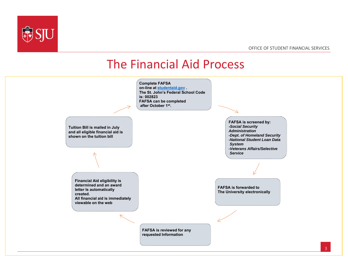

#### OFFICE OF STUDENT FINANCIAL SERVICES

#### The Financial Aid Process

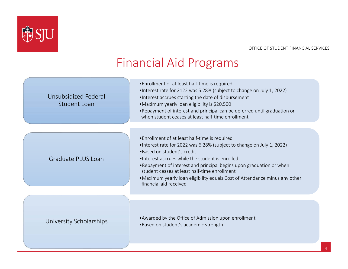

#### Financial Aid Programs

| Unsubsidized Federal<br><b>Student Loan</b> | •Enrollment of at least half-time is required<br>•Interest rate for 2122 was 5.28% (subject to change on July 1, 2022)<br>. Interest accrues starting the date of disbursement<br>•Maximum yearly loan eligibility is \$20,500<br>. Repayment of interest and principal can be deferred until graduation or<br>when student ceases at least half-time enrollment                                                                           |
|---------------------------------------------|--------------------------------------------------------------------------------------------------------------------------------------------------------------------------------------------------------------------------------------------------------------------------------------------------------------------------------------------------------------------------------------------------------------------------------------------|
| Graduate PLUS Loan                          | • Enrollment of at least half-time is required<br>•Interest rate for 2022 was 6.28% (subject to change on July 1, 2022)<br>· Based on student's credit<br>•Interest accrues while the student is enrolled<br>. Repayment of interest and principal begins upon graduation or when<br>student ceases at least half-time enrollment<br>. Maximum yearly loan eligibility equals Cost of Attendance minus any other<br>financial aid received |
| University Scholarships                     | • Awarded by the Office of Admission upon enrollment<br>•Based on student's academic strength                                                                                                                                                                                                                                                                                                                                              |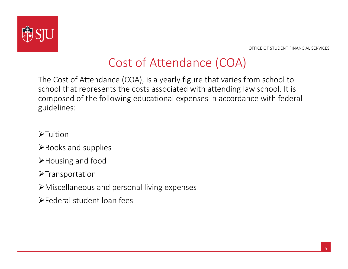

# Cost of Attendance (COA)

The Cost of Attendance (COA), is a yearly figure that varies from school to school that represents the costs associated with attending law school. It is composed of the following educational expenses in accordance with federal guidelines:

- $\blacktriangleright$ Tuition
- $\blacktriangleright$  Books and supplies
- Housing and food
- $\blacktriangleright$ Transportation
- Miscellaneous and personal living expenses
- Federal student loan fees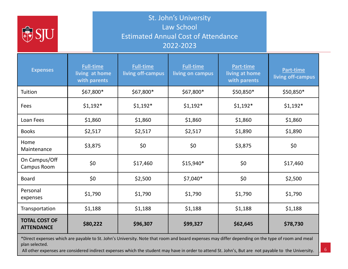

St. John's University Law School Estimated Annual Cost of Attendance 2022‐2023

| <b>Expenses</b>                           | <b>Full-time</b><br>living at home<br>with parents | <b>Full-time</b><br>living off-campus | <b>Full-time</b><br>living on campus | Part-time<br>living at home<br>with parents | Part-time<br>living off-campus |  |
|-------------------------------------------|----------------------------------------------------|---------------------------------------|--------------------------------------|---------------------------------------------|--------------------------------|--|
| Tuition                                   | \$67,800*                                          | $$67,800*$                            | \$67,800*                            | \$50,850*                                   | $$50,850*$                     |  |
| Fees                                      | $$1,192*$                                          | $$1,192*$                             | $$1,192*$<br>$$1,192*$               |                                             | $$1,192*$                      |  |
| Loan Fees                                 | \$1,860                                            | \$1,860                               | \$1,860                              | \$1,860                                     | \$1,860                        |  |
| <b>Books</b>                              | \$2,517                                            | \$2,517                               | \$2,517                              | \$1,890                                     | \$1,890                        |  |
| Home<br>Maintenance                       | \$3,875                                            | \$0                                   | \$0                                  | \$3,875                                     | \$0                            |  |
| On Campus/Off<br>Campus Room              | \$0                                                | \$17,460                              | $$15,940*$                           | \$0                                         | \$17,460                       |  |
| <b>Board</b>                              | \$0                                                | \$2,500                               | $$7,040*$                            | \$0                                         | \$2,500                        |  |
| Personal<br>expenses                      | \$1,790                                            | \$1,790                               | \$1,790                              | \$1,790                                     | \$1,790                        |  |
| Transportation                            | \$1,188                                            | \$1,188                               | \$1,188<br>\$1,188                   |                                             | \$1,188                        |  |
| <b>TOTAL COST OF</b><br><b>ATTENDANCE</b> | \$80,222                                           | \$96,307                              | \$99,327                             | \$62,645                                    | \$78,730                       |  |

\*Direct expenses which are payable to St. John's University. Note that room and board expenses may differ depending on the type of room and meal plan selected.

All other expenses are considered indirect expenses which the student may have in order to attend St. John's, But are not payable to the University.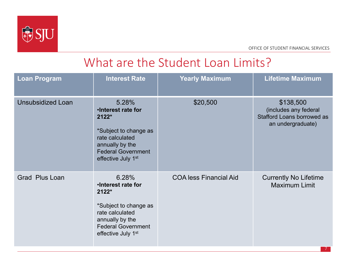

## What are the Student Loan Limits?

| <b>Loan Program</b>      | <b>Interest Rate</b>                                                                                                                                                        | <b>Yearly Maximum</b>         | <b>Lifetime Maximum</b>                                                                      |  |
|--------------------------|-----------------------------------------------------------------------------------------------------------------------------------------------------------------------------|-------------------------------|----------------------------------------------------------------------------------------------|--|
| <b>Unsubsidized Loan</b> | 5.28%<br>.Interest rate for<br>$2122*$<br>*Subject to change as<br>rate calculated<br>annually by the<br><b>Federal Government</b><br>effective July 1 <sup>st</sup>        | \$20,500                      | \$138,500<br>(includes any federal<br><b>Stafford Loans borrowed as</b><br>an undergraduate) |  |
| <b>Grad Plus Loan</b>    | 6.28%<br><b>.Interest rate for</b><br>$2122*$<br>*Subject to change as<br>rate calculated<br>annually by the<br><b>Federal Government</b><br>effective July 1 <sup>st</sup> | <b>COA less Financial Aid</b> | <b>Currently No Lifetime</b><br><b>Maximum Limit</b><br>-7 -                                 |  |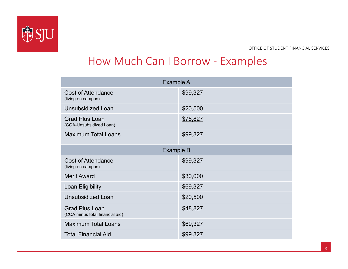

#### How Much Can I Borrow ‐ Examples

| Example A                                                |          |  |  |  |  |
|----------------------------------------------------------|----------|--|--|--|--|
| <b>Cost of Attendance</b><br>(living on campus)          | \$99,327 |  |  |  |  |
| <b>Unsubsidized Loan</b>                                 | \$20,500 |  |  |  |  |
| <b>Grad Plus Loan</b><br>(COA-Unsubsidized Loan)         | \$78,827 |  |  |  |  |
| <b>Maximum Total Loans</b>                               | \$99,327 |  |  |  |  |
| Example B                                                |          |  |  |  |  |
| <b>Cost of Attendance</b><br>(living on campus)          | \$99,327 |  |  |  |  |
| <b>Merit Award</b>                                       | \$30,000 |  |  |  |  |
| <b>Loan Eligibility</b>                                  | \$69,327 |  |  |  |  |
| <b>Unsubsidized Loan</b>                                 | \$20,500 |  |  |  |  |
| <b>Grad Plus Loan</b><br>(COA minus total financial aid) | \$48,827 |  |  |  |  |
| <b>Maximum Total Loans</b>                               | \$69,327 |  |  |  |  |
| <b>Total Financial Aid</b>                               | \$99.327 |  |  |  |  |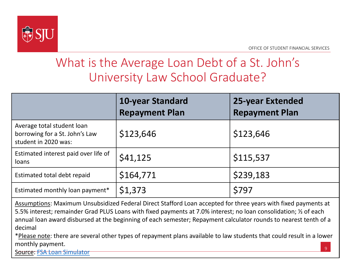

## What is the Average Loan Debt of a St. John's University Law School Graduate?

|                                                                                      | 10-year Standard<br><b>Repayment Plan</b> | <b>25-year Extended</b><br><b>Repayment Plan</b> |
|--------------------------------------------------------------------------------------|-------------------------------------------|--------------------------------------------------|
| Average total student loan<br>borrowing for a St. John's Law<br>student in 2020 was: | \$123,646                                 | \$123,646                                        |
| Estimated interest paid over life of<br>loans                                        | \$41,125                                  | \$115,537                                        |
| Estimated total debt repaid                                                          | \$164,771                                 | \$239,183                                        |
| Estimated monthly loan payment*                                                      | \$1,373                                   | \$797                                            |

Assumptions: Maximum Unsubsidized Federal Direct Stafford Loan accepted for three years with fixed payments at 5.5% interest; remainder Grad PLUS Loans with fixed payments at 7.0% interest; no loan consolidation; ½ of each annual loan award disbursed at the beginning of each semester; Repayment calculator rounds to nearest tenth of a decimal

\*Please note: there are several other types of repayment plans available to law students that could result in a lower monthly payment.

Source: FSA Loan Simulator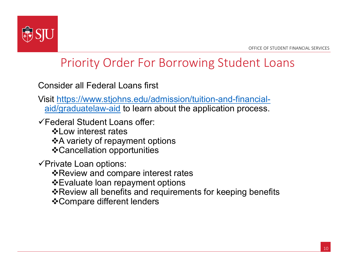

## Priority Order For Borrowing Student Loans

Consider all Federal Loans first

Visit https://www.stjohns.edu/admission/tuition-and-financialaid/graduatelaw-aid to learn about the application process.

Federal Student Loans offer:

 $\cdot$  **Ow interest rates** 

 $\triangle$ **A variety of repayment options** 

Cancellation opportunities

 $\checkmark$ Private Loan options:

**\***Review and compare interest rates

Evaluate loan repayment options

Review all benefits and requirements for keeping benefits

Compare different lenders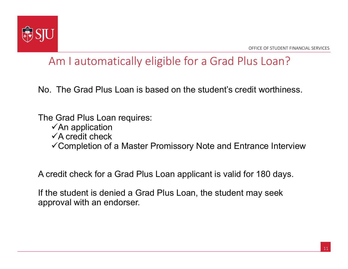

#### Am I automatically eligible for a Grad Plus Loan?

No. The Grad Plus Loan is based on the student's credit worthiness.

The Grad Plus Loan requires:

- $\checkmark$ An application
- $\checkmark$ A credit check
- Completion of a Master Promissory Note and Entrance Interview

A credit check for a Grad Plus Loan applicant is valid for 180 days.

If the student is denied a Grad Plus Loan, the student may seek approval with an endorser.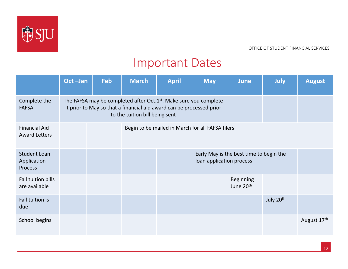

OFFICE OF STUDENT FINANCIAL SERVICES

#### Important Dates

|                                                      | Oct-Jan                                                                                                                                                                                 | <b>Feb</b> | <b>March</b>                                                        | <b>April</b>                                     | <b>May</b> | <b>June</b>                               | July      | <b>August</b> |
|------------------------------------------------------|-----------------------------------------------------------------------------------------------------------------------------------------------------------------------------------------|------------|---------------------------------------------------------------------|--------------------------------------------------|------------|-------------------------------------------|-----------|---------------|
| Complete the<br><b>FAFSA</b>                         | The FAFSA may be completed after Oct.1 <sup>st</sup> . Make sure you complete<br>it prior to May so that a financial aid award can be processed prior<br>to the tuition bill being sent |            |                                                                     |                                                  |            |                                           |           |               |
| <b>Financial Aid</b><br><b>Award Letters</b>         |                                                                                                                                                                                         |            |                                                                     | Begin to be mailed in March for all FAFSA filers |            |                                           |           |               |
| <b>Student Loan</b><br>Application<br><b>Process</b> |                                                                                                                                                                                         |            | Early May is the best time to begin the<br>loan application process |                                                  |            |                                           |           |               |
| Fall tuition bills<br>are available                  |                                                                                                                                                                                         |            |                                                                     |                                                  |            | <b>Beginning</b><br>June 20 <sup>th</sup> |           |               |
| Fall tuition is<br>due                               |                                                                                                                                                                                         |            |                                                                     |                                                  |            |                                           | July 20th |               |
| School begins                                        |                                                                                                                                                                                         |            |                                                                     |                                                  |            |                                           |           | August 17th   |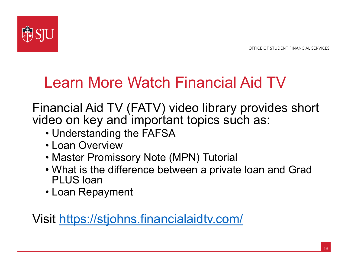

# Learn More Watch Financial Aid TV

Financial Aid TV (FATV) video library provides short video on key and important topics such as:

- Understanding the FAFSA
- Loan Overview
- Master Promissory Note (MPN) Tutorial
- What is the difference between a private loan and Grad PLUS loan
- Loan Repayment

Visit https://stjohns.financialaidtv.com/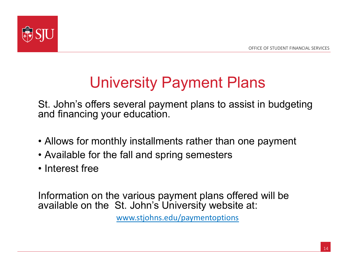

# University Payment Plans

St. John's offers several payment plans to assist in budgeting and financing your education.

- Allows for monthly installments rather than one payment
- Available for the fall and spring semesters
- Interest free

Information on the various payment plans offered will be available on the St. John's University website at:

www.stjohns.edu/paymentoptions